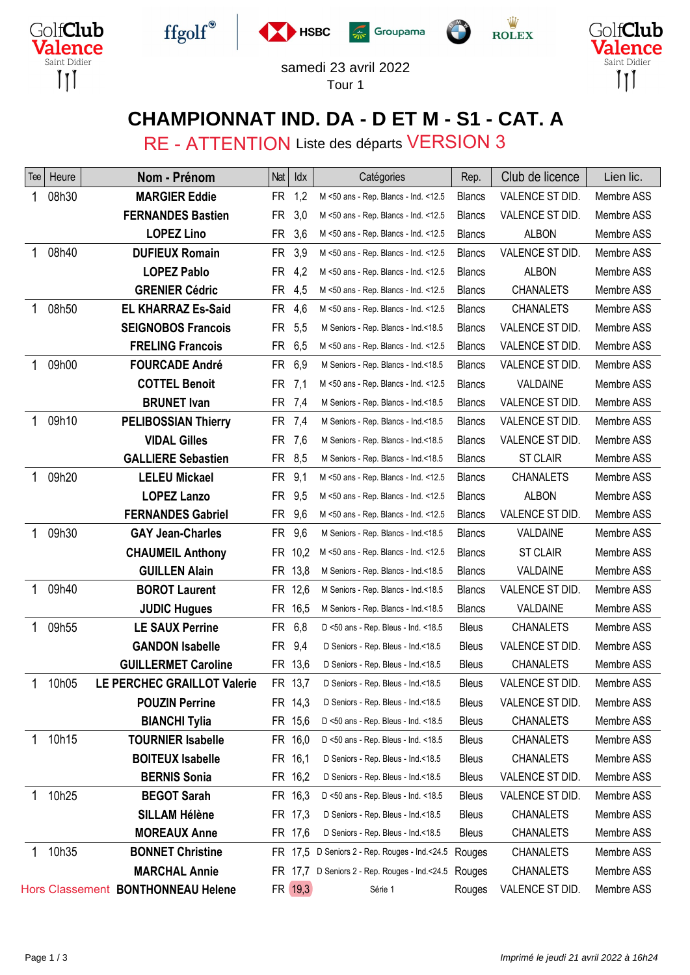









## samedi 23 avril 2022

Tour 1

### **CHAMPIONNAT IND. DA - D ET M - S1 - CAT. A**

RE - ATTENTION Liste des départs VERSION 3

| lee | Heure | Nom - Prénom                       | Nat       | Idx     | Catégories                                    | Rep.          | Club de licence  | Lien lic.  |
|-----|-------|------------------------------------|-----------|---------|-----------------------------------------------|---------------|------------------|------------|
| 1   | 08h30 | <b>MARGIER Eddie</b>               | <b>FR</b> | 1,2     | M <50 ans - Rep. Blancs - Ind. <12.5          | <b>Blancs</b> | VALENCE ST DID.  | Membre ASS |
|     |       | <b>FERNANDES Bastien</b>           | <b>FR</b> | 3,0     | M <50 ans - Rep. Blancs - Ind. <12.5          | <b>Blancs</b> | VALENCE ST DID.  | Membre ASS |
|     |       | <b>LOPEZ Lino</b>                  | <b>FR</b> | 3,6     | M <50 ans - Rep. Blancs - Ind. <12.5          | <b>Blancs</b> | <b>ALBON</b>     | Membre ASS |
| 1   | 08h40 | <b>DUFIEUX Romain</b>              | <b>FR</b> | 3,9     | M <50 ans - Rep. Blancs - Ind. <12.5          | <b>Blancs</b> | VALENCE ST DID.  | Membre ASS |
|     |       | <b>LOPEZ Pablo</b>                 | FR.       | 4,2     | M <50 ans - Rep. Blancs - Ind. <12.5          | <b>Blancs</b> | <b>ALBON</b>     | Membre ASS |
|     |       | <b>GRENIER Cédric</b>              | FR        | 4,5     | M <50 ans - Rep. Blancs - Ind. <12.5          | <b>Blancs</b> | <b>CHANALETS</b> | Membre ASS |
| 1   | 08h50 | <b>EL KHARRAZ Es-Said</b>          | FR.       | 4,6     | M <50 ans - Rep. Blancs - Ind. <12.5          | <b>Blancs</b> | <b>CHANALETS</b> | Membre ASS |
|     |       | <b>SEIGNOBOS Francois</b>          | <b>FR</b> | 5,5     | M Seniors - Rep. Blancs - Ind.<18.5           | <b>Blancs</b> | VALENCE ST DID.  | Membre ASS |
|     |       | <b>FRELING Francois</b>            | FR        | 6,5     | M <50 ans - Rep. Blancs - Ind. <12.5          | <b>Blancs</b> | VALENCE ST DID.  | Membre ASS |
|     | 09h00 | <b>FOURCADE André</b>              | FR.       | 6,9     | M Seniors - Rep. Blancs - Ind.<18.5           | <b>Blancs</b> | VALENCE ST DID.  | Membre ASS |
|     |       | <b>COTTEL Benoit</b>               | FR.       | 7,1     | M <50 ans - Rep. Blancs - Ind. <12.5          | <b>Blancs</b> | VALDAINE         | Membre ASS |
|     |       | <b>BRUNET</b> Ivan                 | <b>FR</b> | -7,4    | M Seniors - Rep. Blancs - Ind.<18.5           | <b>Blancs</b> | VALENCE ST DID.  | Membre ASS |
| 1   | 09h10 | <b>PELIBOSSIAN Thierry</b>         | <b>FR</b> | 7,4     | M Seniors - Rep. Blancs - Ind.<18.5           | <b>Blancs</b> | VALENCE ST DID.  | Membre ASS |
|     |       | <b>VIDAL Gilles</b>                | <b>FR</b> | 7,6     | M Seniors - Rep. Blancs - Ind.<18.5           | <b>Blancs</b> | VALENCE ST DID.  | Membre ASS |
|     |       | <b>GALLIERE Sebastien</b>          |           | FR 8,5  | M Seniors - Rep. Blancs - Ind.<18.5           | <b>Blancs</b> | <b>ST CLAIR</b>  | Membre ASS |
| 1   | 09h20 | <b>LELEU Mickael</b>               | FR.       | 9,1     | M <50 ans - Rep. Blancs - Ind. <12.5          | <b>Blancs</b> | <b>CHANALETS</b> | Membre ASS |
|     |       | <b>LOPEZ Lanzo</b>                 | <b>FR</b> | 9,5     | M <50 ans - Rep. Blancs - Ind. <12.5          | <b>Blancs</b> | <b>ALBON</b>     | Membre ASS |
|     |       | <b>FERNANDES Gabriel</b>           | FR.       | 9,6     | M <50 ans - Rep. Blancs - Ind. <12.5          | <b>Blancs</b> | VALENCE ST DID.  | Membre ASS |
| 1   | 09h30 | <b>GAY Jean-Charles</b>            | FR.       | 9,6     | M Seniors - Rep. Blancs - Ind.<18.5           | <b>Blancs</b> | VALDAINE         | Membre ASS |
|     |       | <b>CHAUMEIL Anthony</b>            |           | FR 10,2 | M <50 ans - Rep. Blancs - Ind. <12.5          | <b>Blancs</b> | <b>ST CLAIR</b>  | Membre ASS |
|     |       | <b>GUILLEN Alain</b>               |           | FR 13,8 | M Seniors - Rep. Blancs - Ind.<18.5           | <b>Blancs</b> | VALDAINE         | Membre ASS |
| 1   | 09h40 | <b>BOROT Laurent</b>               |           | FR 12,6 | M Seniors - Rep. Blancs - Ind.<18.5           | <b>Blancs</b> | VALENCE ST DID.  | Membre ASS |
|     |       | <b>JUDIC Hugues</b>                |           | FR 16,5 | M Seniors - Rep. Blancs - Ind.<18.5           | <b>Blancs</b> | VALDAINE         | Membre ASS |
| 1   | 09h55 | <b>LE SAUX Perrine</b>             | FR.       | 6,8     | D <50 ans - Rep. Bleus - Ind. <18.5           | <b>Bleus</b>  | <b>CHANALETS</b> | Membre ASS |
|     |       | <b>GANDON Isabelle</b>             | FR.       | 9,4     | D Seniors - Rep. Bleus - Ind.<18.5            | Bleus         | VALENCE ST DID.  | Membre ASS |
|     |       | <b>GUILLERMET Caroline</b>         |           | FR 13,6 | D Seniors - Rep. Bleus - Ind.<18.5            | <b>Bleus</b>  | <b>CHANALETS</b> | Membre ASS |
| 1   | 10h05 | LE PERCHEC GRAILLOT Valerie        |           | FR 13,7 | D Seniors - Rep. Bleus - Ind.<18.5            | <b>Bleus</b>  | VALENCE ST DID.  | Membre ASS |
|     |       | <b>POUZIN Perrine</b>              |           | FR 14,3 | D Seniors - Rep. Bleus - Ind.<18.5            | <b>Bleus</b>  | VALENCE ST DID.  | Membre ASS |
|     |       | <b>BIANCHI Tylia</b>               |           | FR 15,6 | D <50 ans - Rep. Bleus - Ind. <18.5           | <b>Bleus</b>  | CHANALETS        | Membre ASS |
| 1   | 10h15 | <b>TOURNIER Isabelle</b>           |           | FR 16,0 | D <50 ans - Rep. Bleus - Ind. <18.5           | <b>Bleus</b>  | <b>CHANALETS</b> | Membre ASS |
|     |       | <b>BOITEUX Isabelle</b>            |           | FR 16,1 | D Seniors - Rep. Bleus - Ind.<18.5            | <b>Bleus</b>  | <b>CHANALETS</b> | Membre ASS |
|     |       | <b>BERNIS Sonia</b>                |           | FR 16,2 | D Seniors - Rep. Bleus - Ind.<18.5            | <b>Bleus</b>  | VALENCE ST DID.  | Membre ASS |
|     | 10h25 | <b>BEGOT Sarah</b>                 |           | FR 16,3 | D <50 ans - Rep. Bleus - Ind. <18.5           | <b>Bleus</b>  | VALENCE ST DID.  | Membre ASS |
|     |       | <b>SILLAM Hélène</b>               |           | FR 17,3 | D Seniors - Rep. Bleus - Ind.<18.5            | <b>Bleus</b>  | <b>CHANALETS</b> | Membre ASS |
|     |       | <b>MOREAUX Anne</b>                |           | FR 17,6 | D Seniors - Rep. Bleus - Ind.<18.5            | <b>Bleus</b>  | CHANALETS        | Membre ASS |
|     | 10h35 | <b>BONNET Christine</b>            |           |         | FR 17,5 D Seniors 2 - Rep. Rouges - Ind.<24.5 | Rouges        | <b>CHANALETS</b> | Membre ASS |
|     |       | <b>MARCHAL Annie</b>               |           | FR 17.7 | D Seniors 2 - Rep. Rouges - Ind.<24.5         | Rouges        | <b>CHANALETS</b> | Membre ASS |
|     |       | Hors Classement BONTHONNEAU Helene |           | FR 19,3 | Série 1                                       | Rouges        | VALENCE ST DID.  | Membre ASS |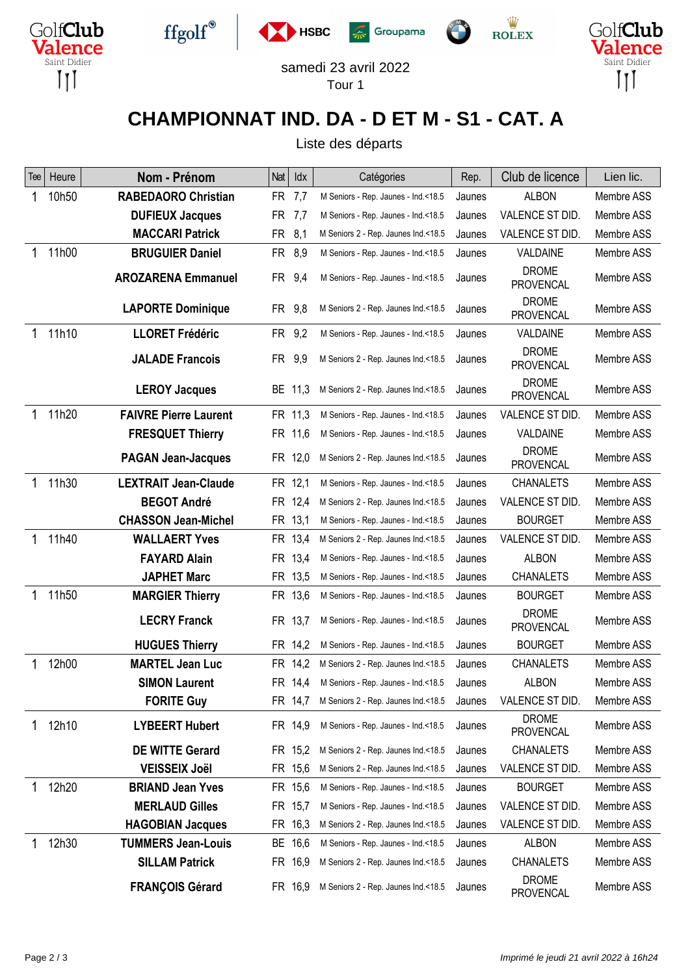











#### samedi 23 avril 2022 Tour 1

### **CHAMPIONNAT IND. DA - D ET M - S1 - CAT. A**

Liste des départs

| Tee | Heure | Nom - Prénom                 | Nat       | Idx     | Catégories                          | Rep.   | Club de licence                  | Lien lic.  |
|-----|-------|------------------------------|-----------|---------|-------------------------------------|--------|----------------------------------|------------|
| 1   | 10h50 | <b>RABEDAORO Christian</b>   | <b>FR</b> | 7,7     | M Seniors - Rep. Jaunes - Ind.<18.5 | Jaunes | <b>ALBON</b>                     | Membre ASS |
|     |       | <b>DUFIEUX Jacques</b>       | <b>FR</b> | 7,7     | M Seniors - Rep. Jaunes - Ind.<18.5 | Jaunes | VALENCE ST DID.                  | Membre ASS |
|     |       | <b>MACCARI Patrick</b>       | <b>FR</b> | 8,1     | M Seniors 2 - Rep. Jaunes Ind.<18.5 | Jaunes | VALENCE ST DID.                  | Membre ASS |
| 1   | 11h00 | <b>BRUGUIER Daniel</b>       | FR.       | 8,9     | M Seniors - Rep. Jaunes - Ind.<18.5 | Jaunes | VALDAINE                         | Membre ASS |
|     |       | <b>AROZARENA Emmanuel</b>    | FR.       | 9,4     | M Seniors - Rep. Jaunes - Ind.<18.5 | Jaunes | <b>DROME</b><br><b>PROVENCAL</b> | Membre ASS |
|     |       | <b>LAPORTE Dominique</b>     | FR 9,8    |         | M Seniors 2 - Rep. Jaunes Ind.<18.5 | Jaunes | <b>DROME</b><br><b>PROVENCAL</b> | Membre ASS |
| 1   | 11h10 | <b>LLORET Frédéric</b>       | FR 9,2    |         | M Seniors - Rep. Jaunes - Ind.<18.5 | Jaunes | VALDAINE                         | Membre ASS |
|     |       | <b>JALADE Francois</b>       | <b>FR</b> | 9,9     | M Seniors 2 - Rep. Jaunes Ind.<18.5 | Jaunes | <b>DROME</b><br><b>PROVENCAL</b> | Membre ASS |
|     |       | <b>LEROY Jacques</b>         |           | BE 11,3 | M Seniors 2 - Rep. Jaunes Ind.<18.5 | Jaunes | <b>DROME</b><br><b>PROVENCAL</b> | Membre ASS |
| 1   | 11h20 | <b>FAIVRE Pierre Laurent</b> |           | FR 11,3 | M Seniors - Rep. Jaunes - Ind.<18.5 | Jaunes | VALENCE ST DID.                  | Membre ASS |
|     |       | <b>FRESQUET Thierry</b>      |           | FR 11,6 | M Seniors - Rep. Jaunes - Ind.<18.5 | Jaunes | VALDAINE                         | Membre ASS |
|     |       | <b>PAGAN Jean-Jacques</b>    |           | FR 12,0 | M Seniors 2 - Rep. Jaunes Ind.<18.5 | Jaunes | <b>DROME</b><br><b>PROVENCAL</b> | Membre ASS |
| 1   | 11h30 | <b>LEXTRAIT Jean-Claude</b>  |           | FR 12,1 | M Seniors - Rep. Jaunes - Ind.<18.5 | Jaunes | <b>CHANALETS</b>                 | Membre ASS |
|     |       | <b>BEGOT André</b>           | FR.       | 12,4    | M Seniors 2 - Rep. Jaunes Ind.<18.5 | Jaunes | VALENCE ST DID.                  | Membre ASS |
|     |       | <b>CHASSON Jean-Michel</b>   |           | FR 13,1 | M Seniors - Rep. Jaunes - Ind.<18.5 | Jaunes | <b>BOURGET</b>                   | Membre ASS |
| 1   | 11h40 | <b>WALLAERT Yves</b>         |           | FR 13,4 | M Seniors 2 - Rep. Jaunes Ind.<18.5 | Jaunes | VALENCE ST DID.                  | Membre ASS |
|     |       | <b>FAYARD Alain</b>          | <b>FR</b> | 13,4    | M Seniors - Rep. Jaunes - Ind.<18.5 | Jaunes | <b>ALBON</b>                     | Membre ASS |
|     |       | <b>JAPHET Marc</b>           |           | FR 13,5 | M Seniors - Rep. Jaunes - Ind.<18.5 | Jaunes | <b>CHANALETS</b>                 | Membre ASS |
| 1   | 11h50 | <b>MARGIER Thierry</b>       |           | FR 13,6 | M Seniors - Rep. Jaunes - Ind.<18.5 | Jaunes | <b>BOURGET</b>                   | Membre ASS |
|     |       | <b>LECRY Franck</b>          |           | FR 13,7 | M Seniors - Rep. Jaunes - Ind.<18.5 | Jaunes | <b>DROME</b><br><b>PROVENCAL</b> | Membre ASS |
|     |       | <b>HUGUES Thierry</b>        | FR.       | 14,2    | M Seniors - Rep. Jaunes - Ind.<18.5 | Jaunes | <b>BOURGET</b>                   | Membre ASS |
| 1   | 12h00 | <b>MARTEL Jean Luc</b>       | <b>FR</b> | 14,2    | M Seniors 2 - Rep. Jaunes Ind.<18.5 | Jaunes | <b>CHANALETS</b>                 | Membre ASS |
|     |       | <b>SIMON Laurent</b>         | <b>FR</b> | 14,4    | M Seniors - Rep. Jaunes - Ind.<18.5 | Jaunes | <b>ALBON</b>                     | Membre ASS |
|     |       | <b>FORITE Guy</b>            |           | FR 14,7 | M Seniors 2 - Rep. Jaunes Ind.<18.5 | Jaunes | VALENCE ST DID.                  | Membre ASS |
|     | 12h10 | <b>LYBEERT Hubert</b>        |           | FR 14,9 | M Seniors - Rep. Jaunes - Ind.<18.5 | Jaunes | <b>DROME</b><br><b>PROVENCAL</b> | Membre ASS |
|     |       | <b>DE WITTE Gerard</b>       |           | FR 15,2 | M Seniors 2 - Rep. Jaunes Ind.<18.5 | Jaunes | <b>CHANALETS</b>                 | Membre ASS |
|     |       | <b>VEISSEIX Joël</b>         |           | FR 15,6 | M Seniors 2 - Rep. Jaunes Ind.<18.5 | Jaunes | VALENCE ST DID.                  | Membre ASS |
| 1   | 12h20 | <b>BRIAND Jean Yves</b>      |           | FR 15,6 | M Seniors - Rep. Jaunes - Ind.<18.5 | Jaunes | <b>BOURGET</b>                   | Membre ASS |
|     |       | <b>MERLAUD Gilles</b>        |           | FR 15,7 | M Seniors - Rep. Jaunes - Ind.<18.5 | Jaunes | VALENCE ST DID.                  | Membre ASS |
|     |       | <b>HAGOBIAN Jacques</b>      |           | FR 16,3 | M Seniors 2 - Rep. Jaunes Ind.<18.5 | Jaunes | VALENCE ST DID.                  | Membre ASS |
|     | 12h30 | <b>TUMMERS Jean-Louis</b>    |           | BE 16,6 | M Seniors - Rep. Jaunes - Ind.<18.5 | Jaunes | <b>ALBON</b>                     | Membre ASS |
|     |       | <b>SILLAM Patrick</b>        |           | FR 16,9 | M Seniors 2 - Rep. Jaunes Ind.<18.5 | Jaunes | <b>CHANALETS</b>                 | Membre ASS |
|     |       | <b>FRANÇOIS Gérard</b>       |           | FR 16,9 | M Seniors 2 - Rep. Jaunes Ind.<18.5 | Jaunes | <b>DROME</b><br>PROVENCAL        | Membre ASS |